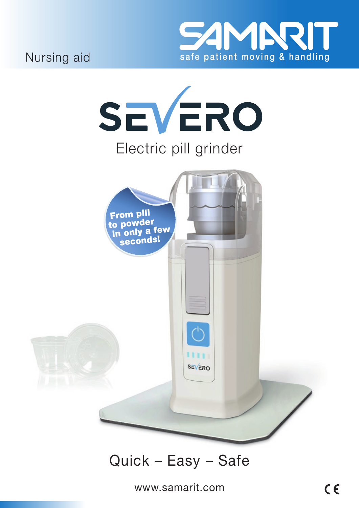

Nursing aid



# Quick - Easy - Safe